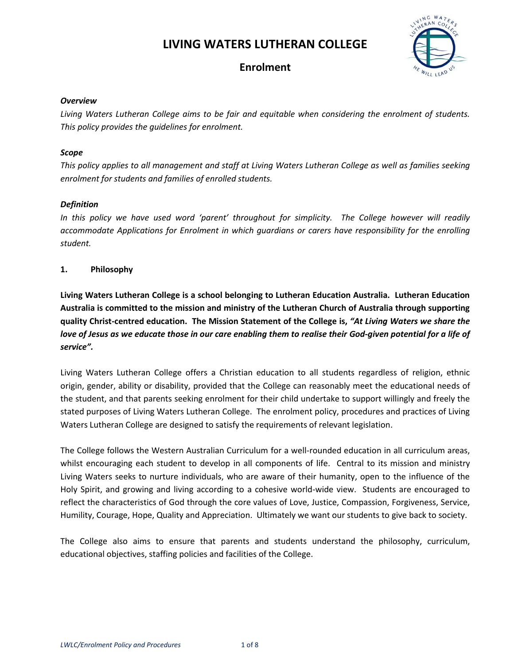# **LIVING WATERS LUTHERAN COLLEGE**



# **Enrolment**

#### *Overview*

*Living Waters Lutheran College aims to be fair and equitable when considering the enrolment of students. This policy provides the guidelines for enrolment.* 

## *Scope*

*This policy applies to all management and staff at Living Waters Lutheran College as well as families seeking enrolment for students and families of enrolled students.* 

## *Definition*

*In this policy we have used word 'parent' throughout for simplicity. The College however will readily accommodate Applications for Enrolment in which guardians or carers have responsibility for the enrolling student.* 

## **1. Philosophy**

**Living Waters Lutheran College is a school belonging to Lutheran Education Australia. Lutheran Education Australia is committed to the mission and ministry of the Lutheran Church of Australia through supporting quality Christ-centred education. The Mission Statement of the College is,** *"At Living Waters we share the love of Jesus as we educate those in our care enabling them to realise their God-given potential for a life of service".*

Living Waters Lutheran College offers a Christian education to all students regardless of religion, ethnic origin, gender, ability or disability, provided that the College can reasonably meet the educational needs of the student, and that parents seeking enrolment for their child undertake to support willingly and freely the stated purposes of Living Waters Lutheran College. The enrolment policy, procedures and practices of Living Waters Lutheran College are designed to satisfy the requirements of relevant legislation.

The College follows the Western Australian Curriculum for a well-rounded education in all curriculum areas, whilst encouraging each student to develop in all components of life. Central to its mission and ministry Living Waters seeks to nurture individuals, who are aware of their humanity, open to the influence of the Holy Spirit, and growing and living according to a cohesive world-wide view. Students are encouraged to reflect the characteristics of God through the core values of Love, Justice, Compassion, Forgiveness, Service, Humility, Courage, Hope, Quality and Appreciation. Ultimately we want our students to give back to society.

The College also aims to ensure that parents and students understand the philosophy, curriculum, educational objectives, staffing policies and facilities of the College.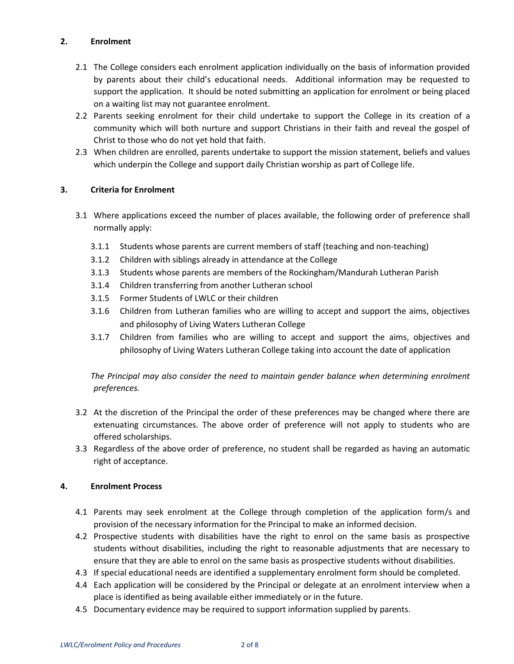# **2. Enrolment**

- 2.1 The College considers each enrolment application individually on the basis of information provided by parents about their child's educational needs. Additional information may be requested to support the application. It should be noted submitting an application for enrolment or being placed on a waiting list may not guarantee enrolment.
- 2.2 Parents seeking enrolment for their child undertake to support the College in its creation of a community which will both nurture and support Christians in their faith and reveal the gospel of Christ to those who do not yet hold that faith.
- 2.3 When children are enrolled, parents undertake to support the mission statement, beliefs and values which underpin the College and support daily Christian worship as part of College life.

# **3. Criteria for Enrolment**

- 3.1 Where applications exceed the number of places available, the following order of preference shall normally apply:
	- 3.1.1 Students whose parents are current members of staff (teaching and non-teaching)
	- 3.1.2 Children with siblings already in attendance at the College
	- 3.1.3 Students whose parents are members of the Rockingham/Mandurah Lutheran Parish
	- 3.1.4 Children transferring from another Lutheran school
	- 3.1.5 Former Students of LWLC or their children
	- 3.1.6 Children from Lutheran families who are willing to accept and support the aims, objectives and philosophy of Living Waters Lutheran College
	- 3.1.7 Children from families who are willing to accept and support the aims, objectives and philosophy of Living Waters Lutheran College taking into account the date of application

*The Principal may also consider the need to maintain gender balance when determining enrolment preferences.* 

- 3.2 At the discretion of the Principal the order of these preferences may be changed where there are extenuating circumstances. The above order of preference will not apply to students who are offered scholarships.
- 3.3 Regardless of the above order of preference, no student shall be regarded as having an automatic right of acceptance.

# **4. Enrolment Process**

- 4.1 Parents may seek enrolment at the College through completion of the application form/s and provision of the necessary information for the Principal to make an informed decision.
- 4.2 Prospective students with disabilities have the right to enrol on the same basis as prospective students without disabilities, including the right to reasonable adjustments that are necessary to ensure that they are able to enrol on the same basis as prospective students without disabilities.
- 4.3 If special educational needs are identified a supplementary enrolment form should be completed.
- 4.4 Each application will be considered by the Principal or delegate at an enrolment interview when a place is identified as being available either immediately or in the future.
- 4.5 Documentary evidence may be required to support information supplied by parents.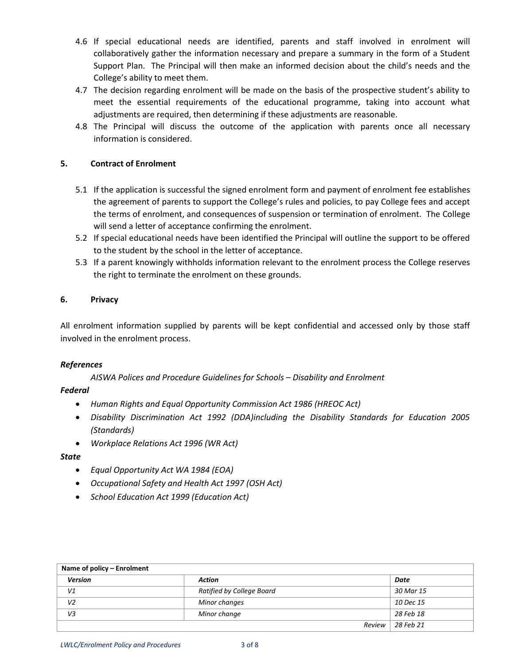- 4.6 If special educational needs are identified, parents and staff involved in enrolment will collaboratively gather the information necessary and prepare a summary in the form of a Student Support Plan. The Principal will then make an informed decision about the child's needs and the College's ability to meet them.
- 4.7 The decision regarding enrolment will be made on the basis of the prospective student's ability to meet the essential requirements of the educational programme, taking into account what adjustments are required, then determining if these adjustments are reasonable.
- 4.8 The Principal will discuss the outcome of the application with parents once all necessary information is considered.

## **5. Contract of Enrolment**

- 5.1 If the application is successful the signed enrolment form and payment of enrolment fee establishes the agreement of parents to support the College's rules and policies, to pay College fees and accept the terms of enrolment, and consequences of suspension or termination of enrolment. The College will send a letter of acceptance confirming the enrolment.
- 5.2 If special educational needs have been identified the Principal will outline the support to be offered to the student by the school in the letter of acceptance.
- 5.3 If a parent knowingly withholds information relevant to the enrolment process the College reserves the right to terminate the enrolment on these grounds.

#### **6. Privacy**

All enrolment information supplied by parents will be kept confidential and accessed only by those staff involved in the enrolment process.

#### *References*

 *AISWA Polices and Procedure Guidelines for Schools – Disability and Enrolment* 

#### *Federal*

- *Human Rights and Equal Opportunity Commission Act 1986 (HREOC Act)*
- *Disability Discrimination Act 1992 (DDA)including the Disability Standards for Education 2005 (Standards)*
- *Workplace Relations Act 1996 (WR Act)*

#### *State*

- *Equal Opportunity Act WA 1984 (EOA)*
- *Occupational Safety and Health Act 1997 (OSH Act)*
- *School Education Act 1999 (Education Act)*

| Name of policy – Enrolment |                           |        |                  |  |
|----------------------------|---------------------------|--------|------------------|--|
| <b>Version</b>             | Action                    |        | Date             |  |
| V1                         | Ratified by College Board |        | 30 Mar 15        |  |
| V <sub>2</sub>             | Minor changes             |        | <i>10 Dec 15</i> |  |
| V3                         | Minor change              |        | 28 Feb 18        |  |
|                            |                           | Review | 28 Feb 21        |  |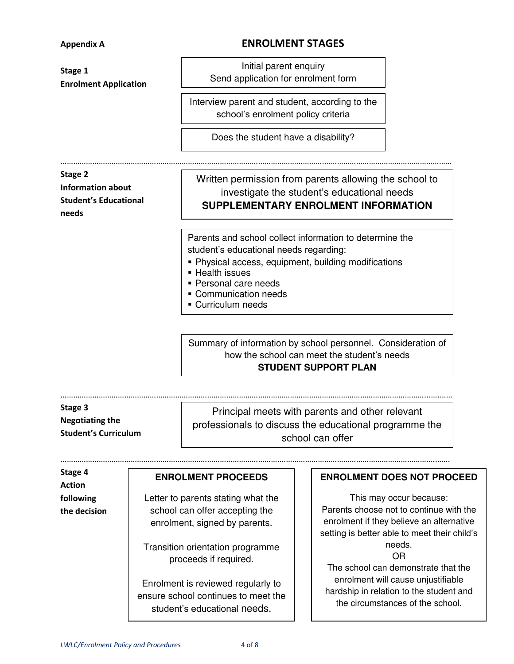# **Appendix A ENROLMENT STAGES**

| Stage 1<br><b>Enrolment Application</b>                                      |                                                                                                                                                                    | Initial parent enquiry<br>Send application for enrolment form                                                                                                                                                                                        |                                                                                                                   |                                                                                                                                                                                                                              |  |
|------------------------------------------------------------------------------|--------------------------------------------------------------------------------------------------------------------------------------------------------------------|------------------------------------------------------------------------------------------------------------------------------------------------------------------------------------------------------------------------------------------------------|-------------------------------------------------------------------------------------------------------------------|------------------------------------------------------------------------------------------------------------------------------------------------------------------------------------------------------------------------------|--|
|                                                                              |                                                                                                                                                                    | Interview parent and student, according to the<br>school's enrolment policy criteria                                                                                                                                                                 |                                                                                                                   |                                                                                                                                                                                                                              |  |
|                                                                              |                                                                                                                                                                    | Does the student have a disability?                                                                                                                                                                                                                  |                                                                                                                   |                                                                                                                                                                                                                              |  |
| Stage 2<br><b>Information about</b><br><b>Student's Educational</b><br>needs |                                                                                                                                                                    | Written permission from parents allowing the school to<br>investigate the student's educational needs<br>SUPPLEMENTARY ENROLMENT INFORMATION                                                                                                         |                                                                                                                   |                                                                                                                                                                                                                              |  |
|                                                                              |                                                                                                                                                                    | Parents and school collect information to determine the<br>student's educational needs regarding:<br>• Physical access, equipment, building modifications<br>- Health issues<br>• Personal care needs<br>• Communication needs<br>• Curriculum needs |                                                                                                                   |                                                                                                                                                                                                                              |  |
|                                                                              |                                                                                                                                                                    | Summary of information by school personnel. Consideration of<br>how the school can meet the student's needs<br><b>STUDENT SUPPORT PLAN</b>                                                                                                           |                                                                                                                   |                                                                                                                                                                                                                              |  |
| Stage 3<br><b>Negotiating the</b><br><b>Student's Curriculum</b>             |                                                                                                                                                                    | Principal meets with parents and other relevant<br>professionals to discuss the educational programme the<br>school can offer                                                                                                                        |                                                                                                                   |                                                                                                                                                                                                                              |  |
| Stage 4                                                                      |                                                                                                                                                                    | <b>ENROLMENT PROCEEDS</b>                                                                                                                                                                                                                            |                                                                                                                   | <b>ENROLMENT DOES NOT PROCEED</b>                                                                                                                                                                                            |  |
| <b>Action</b><br>following<br>the decision                                   | Letter to parents stating what the<br>school can offer accepting the<br>enrolment, signed by parents.<br>Transition orientation programme<br>proceeds if required. |                                                                                                                                                                                                                                                      |                                                                                                                   | This may occur because:<br>Parents choose not to continue with the<br>enrolment if they believe an alternative<br>setting is better able to meet their child's<br>needs.<br><b>OR</b><br>The school can demonstrate that the |  |
|                                                                              | Enrolment is reviewed regularly to<br>ensure school continues to meet the                                                                                          |                                                                                                                                                                                                                                                      | enrolment will cause unjustifiable<br>hardship in relation to the student and<br>the circumstances of the school. |                                                                                                                                                                                                                              |  |

student's educational needs.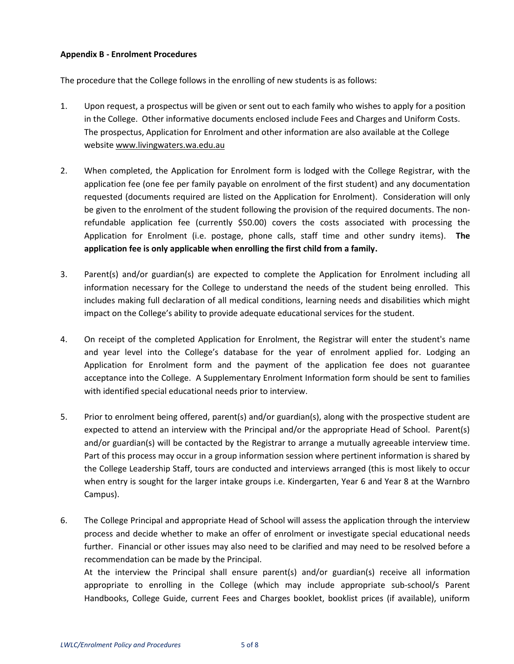#### **Appendix B - Enrolment Procedures**

The procedure that the College follows in the enrolling of new students is as follows:

- 1. Upon request, a prospectus will be given or sent out to each family who wishes to apply for a position in the College. Other informative documents enclosed include Fees and Charges and Uniform Costs. The prospectus, Application for Enrolment and other information are also available at the College website [www.livingwaters.wa.edu.au](http://www.livingwaters.wa.edu.au/)
- 2. When completed, the Application for Enrolment form is lodged with the College Registrar, with the application fee (one fee per family payable on enrolment of the first student) and any documentation requested (documents required are listed on the Application for Enrolment). Consideration will only be given to the enrolment of the student following the provision of the required documents. The nonrefundable application fee (currently \$50.00) covers the costs associated with processing the Application for Enrolment (i.e. postage, phone calls, staff time and other sundry items). **The application fee is only applicable when enrolling the first child from a family.**
- 3. Parent(s) and/or guardian(s) are expected to complete the Application for Enrolment including all information necessary for the College to understand the needs of the student being enrolled. This includes making full declaration of all medical conditions, learning needs and disabilities which might impact on the College's ability to provide adequate educational services for the student.
- 4. On receipt of the completed Application for Enrolment, the Registrar will enter the student's name and year level into the College's database for the year of enrolment applied for. Lodging an Application for Enrolment form and the payment of the application fee does not guarantee acceptance into the College. A Supplementary Enrolment Information form should be sent to families with identified special educational needs prior to interview.
- 5. Prior to enrolment being offered, parent(s) and/or guardian(s), along with the prospective student are expected to attend an interview with the Principal and/or the appropriate Head of School. Parent(s) and/or guardian(s) will be contacted by the Registrar to arrange a mutually agreeable interview time. Part of this process may occur in a group information session where pertinent information is shared by the College Leadership Staff, tours are conducted and interviews arranged (this is most likely to occur when entry is sought for the larger intake groups i.e. Kindergarten, Year 6 and Year 8 at the Warnbro Campus).
- 6. The College Principal and appropriate Head of School will assess the application through the interview process and decide whether to make an offer of enrolment or investigate special educational needs further. Financial or other issues may also need to be clarified and may need to be resolved before a recommendation can be made by the Principal.

At the interview the Principal shall ensure parent(s) and/or guardian(s) receive all information appropriate to enrolling in the College (which may include appropriate sub-school/s Parent Handbooks, College Guide, current Fees and Charges booklet, booklist prices (if available), uniform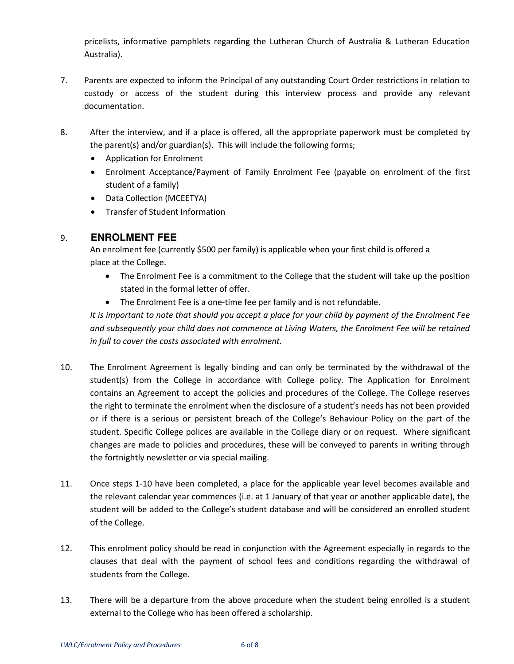pricelists, informative pamphlets regarding the Lutheran Church of Australia & Lutheran Education Australia).

- 7. Parents are expected to inform the Principal of any outstanding Court Order restrictions in relation to custody or access of the student during this interview process and provide any relevant documentation.
- 8. After the interview, and if a place is offered, all the appropriate paperwork must be completed by the parent(s) and/or guardian(s). This will include the following forms;
	- Application for Enrolment
	- Enrolment Acceptance/Payment of Family Enrolment Fee (payable on enrolment of the first student of a family)
	- Data Collection (MCEETYA)
	- Transfer of Student Information

# 9. **ENROLMENT FEE**

An enrolment fee (currently \$500 per family) is applicable when your first child is offered a place at the College.

- The Enrolment Fee is a commitment to the College that the student will take up the position stated in the formal letter of offer.
- The Enrolment Fee is a one-time fee per family and is not refundable.

*It is important to note that should you accept a place for your child by payment of the Enrolment Fee and subsequently your child does not commence at Living Waters, the Enrolment Fee will be retained in full to cover the costs associated with enrolment.* 

- 10. The Enrolment Agreement is legally binding and can only be terminated by the withdrawal of the student(s) from the College in accordance with College policy. The Application for Enrolment contains an Agreement to accept the policies and procedures of the College. The College reserves the right to terminate the enrolment when the disclosure of a student's needs has not been provided or if there is a serious or persistent breach of the College's Behaviour Policy on the part of the student. Specific College polices are available in the College diary or on request. Where significant changes are made to policies and procedures, these will be conveyed to parents in writing through the fortnightly newsletter or via special mailing.
- 11. Once steps 1-10 have been completed, a place for the applicable year level becomes available and the relevant calendar year commences (i.e. at 1 January of that year or another applicable date), the student will be added to the College's student database and will be considered an enrolled student of the College.
- 12. This enrolment policy should be read in conjunction with the Agreement especially in regards to the clauses that deal with the payment of school fees and conditions regarding the withdrawal of students from the College.
- 13. There will be a departure from the above procedure when the student being enrolled is a student external to the College who has been offered a scholarship.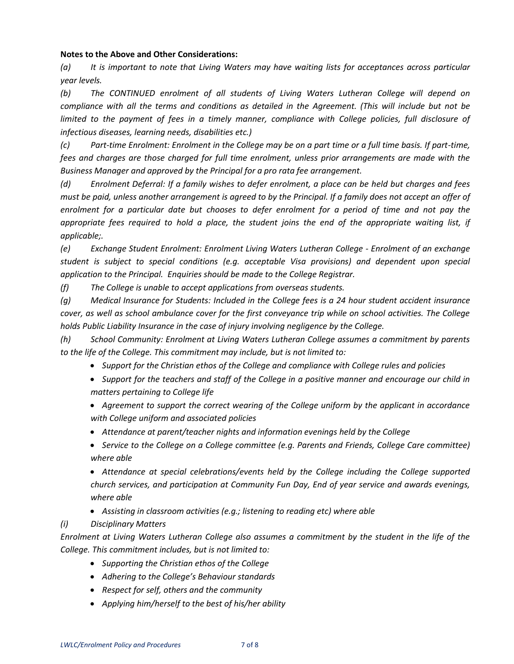#### **Notes to the Above and Other Considerations:**

*(a) It is important to note that Living Waters may have waiting lists for acceptances across particular year levels.* 

*(b) The CONTINUED enrolment of all students of Living Waters Lutheran College will depend on compliance with all the terms and conditions as detailed in the Agreement. (This will include but not be*  limited to the payment of fees in a timely manner, compliance with College policies, full disclosure of *infectious diseases, learning needs, disabilities etc.)* 

*(c) Part-time Enrolment: Enrolment in the College may be on a part time or a full time basis. If part-time, fees and charges are those charged for full time enrolment, unless prior arrangements are made with the Business Manager and approved by the Principal for a pro rata fee arrangement.* 

*(d) Enrolment Deferral: If a family wishes to defer enrolment, a place can be held but charges and fees must be paid, unless another arrangement is agreed to by the Principal. If a family does not accept an offer of enrolment for a particular date but chooses to defer enrolment for a period of time and not pay the appropriate fees required to hold a place, the student joins the end of the appropriate waiting list, if applicable;.* 

*(e) Exchange Student Enrolment: Enrolment Living Waters Lutheran College - Enrolment of an exchange student is subject to special conditions (e.g. acceptable Visa provisions) and dependent upon special application to the Principal. Enquiries should be made to the College Registrar.* 

*(f) The College is unable to accept applications from overseas students.* 

*(g) Medical Insurance for Students: Included in the College fees is a 24 hour student accident insurance cover, as well as school ambulance cover for the first conveyance trip while on school activities. The College holds Public Liability Insurance in the case of injury involving negligence by the College.* 

*(h) School Community: Enrolment at Living Waters Lutheran College assumes a commitment by parents to the life of the College. This commitment may include, but is not limited to:* 

- *Support for the Christian ethos of the College and compliance with College rules and policies*
- *Support for the teachers and staff of the College in a positive manner and encourage our child in matters pertaining to College life*
- *Agreement to support the correct wearing of the College uniform by the applicant in accordance with College uniform and associated policies*
- *Attendance at parent/teacher nights and information evenings held by the College*
- *Service to the College on a College committee (e.g. Parents and Friends, College Care committee) where able*

 *Attendance at special celebrations/events held by the College including the College supported church services, and participation at Community Fun Day, End of year service and awards evenings, where able* 

- *Assisting in classroom activities (e.g.; listening to reading etc) where able*
- *(i) Disciplinary Matters*

*Enrolment at Living Waters Lutheran College also assumes a commitment by the student in the life of the College. This commitment includes, but is not limited to:* 

- *Supporting the Christian ethos of the College*
- *Adhering to the College's Behaviour standards*
- *Respect for self, others and the community*
- *Applying him/herself to the best of his/her ability*